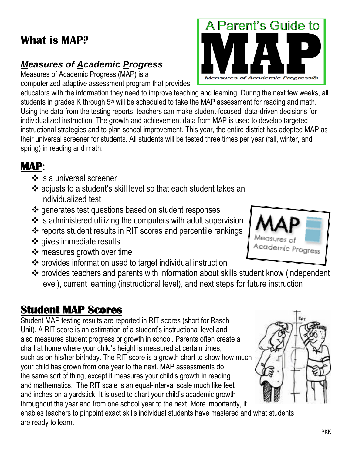PKK

#### **What is MAP?**

#### *Measures of Academic Progress*

Measures of Academic Progress (MAP) is a

computerized adaptive assessment program that provides educators with the information they need to improve teaching and learning. During the next few weeks, all students in grades K through 5<sup>th</sup> will be scheduled to take the MAP assessment for reading and math. Using the data from the testing reports, teachers can make student-focused, data-driven decisions for individualized instruction. The growth and achievement data from MAP is used to develop targeted instructional strategies and to plan school improvement. This year, the entire district has adopted MAP as their universal screener for students. All students will be tested three times per year (fall, winter, and spring) in reading and math.

### **MAP**:

- $\div$  is a universal screener
- adjusts to a student's skill level so that each student takes an individualized test
- $\triangle$  generates test questions based on student responses
- $\cdot$  is administered utilizing the computers with adult supervision
- $\div$  reports student results in RIT scores and percentile rankings
- ❖ gives immediate results
- ❖ measures growth over time
- provides information used to target individual instruction
- provides teachers and parents with information about skills student know (independent level), current learning (instructional level), and next steps for future instruction

# **Student MAP Scores**

Student MAP testing results are reported in RIT scores (short for Rasch Unit). A RIT score is an estimation of a student's instructional level and also measures student progress or growth in school. Parents often create a chart at home where your child's height is measured at certain times, such as on his/her birthday. The RIT score is a growth chart to show how much your child has grown from one year to the next. MAP assessments do the same sort of thing, except it measures your child's growth in reading and mathematics. The RIT scale is an equal-interval scale much like feet and inches on a yardstick. It is used to chart your child's academic growth throughout the year and from one school year to the next. More importantly, it

enables teachers to pinpoint exact skills individual students have mastered and what students are ready to learn.